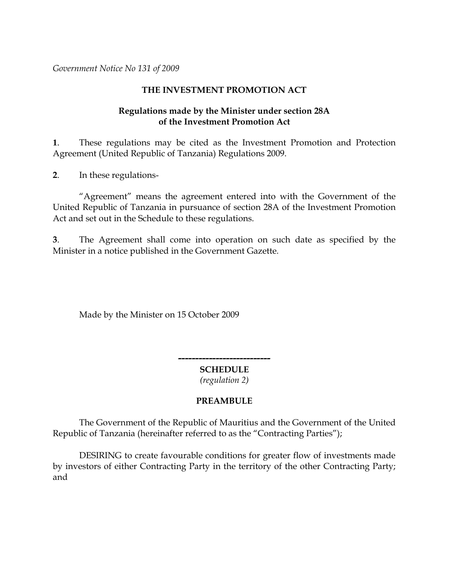*Government Notice No 131 of 2009*

## **THE INVESTMENT PROMOTION ACT**

## **Regulations made by the Minister under section 28A of the Investment Promotion Act**

**1**. These regulations may be cited as the Investment Promotion and Protection Agreement (United Republic of Tanzania) Regulations 2009.

**2**. In these regulations-

"Agreement" means the agreement entered into with the Government of the United Republic of Tanzania in pursuance of section 28A of the Investment Promotion Act and set out in the Schedule to these regulations.

**3**. The Agreement shall come into operation on such date as specified by the Minister in a notice published in the Government Gazette*.*

Made by the Minister on 15 October 2009

**--------------------------- SCHEDULE**

*(regulation 2)*

# **PREAMBULE**

The Government of the Republic of Mauritius and the Government of the United Republic of Tanzania (hereinafter referred to as the "Contracting Parties");

DESIRING to create favourable conditions for greater flow of investments made by investors of either Contracting Party in the territory of the other Contracting Party; and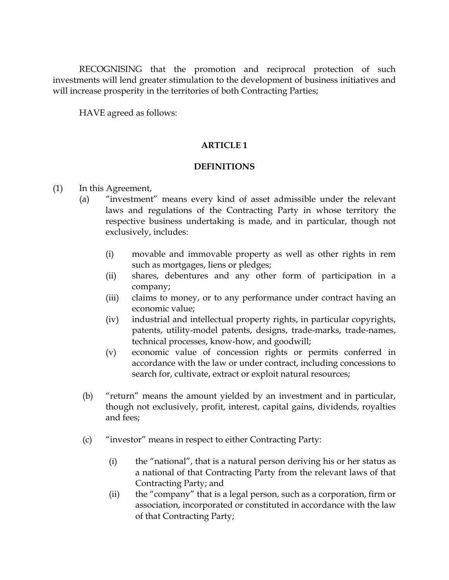RECOGNISING that the promotion and reciprocal protection of such investments will lend greater stimulation to the development of business initiatives and will increase prosperity in the territories of both Contracting Parties;

HAVE agreed as follows:

## **ARTICLE 1**

## **DEFINITIONS**

- (1) In this Agreement,
	- (a) "investment" means every kind of asset admissible under the relevant laws and regulations of the Contracting Party in whose territory the respective business undertaking is made, and in particular, though not exclusively, includes:
		- (i) movable and immovable property as well as other rights in rem such as mortgages, liens or pledges;
		- (ii) shares, debentures and any other form of participation in a company;
		- (iii) claims to money, or to any performance under contract having an economic value;
		- (iv) industrial and intellectual property rights, in particular copyrights, patents, utility-model patents, designs, trade-marks, trade-names, technical processes, know-how, and goodwill;
		- (v) economic value of concession rights or permits conferred in accordance with the law or under contract, including concessions to search for, cultivate, extract or exploit natural resources;
	- (b) "return" means the amount yielded by an investment and in particular, though not exclusively, profit, interest, capital gains, dividends, royalties and fees;
	- (c) "investor" means in respect to either Contracting Party:
		- (i) the "national", that is a natural person deriving his or her status as a national of that Contracting Party from the relevant laws of that Contracting Party; and
		- (ii) the "company" that is a legal person, such as a corporation, firm or association, incorporated or constituted in accordance with the law of that Contracting Party;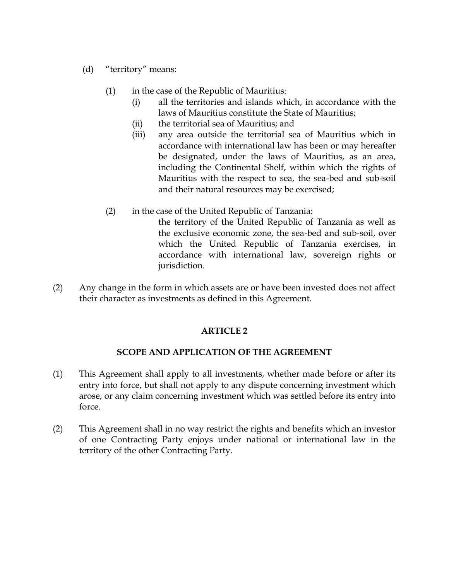- (d) "territory" means:
	- (1) in the case of the Republic of Mauritius:
		- (i) all the territories and islands which, in accordance with the laws of Mauritius constitute the State of Mauritius;
		- (ii) the territorial sea of Mauritius; and
		- (iii) any area outside the territorial sea of Mauritius which in accordance with international law has been or may hereafter be designated, under the laws of Mauritius, as an area, including the Continental Shelf, within which the rights of Mauritius with the respect to sea, the sea-bed and sub-soil and their natural resources may be exercised;
	- (2) in the case of the United Republic of Tanzania:
		- the territory of the United Republic of Tanzania as well as the exclusive economic zone, the sea-bed and sub-soil, over which the United Republic of Tanzania exercises, in accordance with international law, sovereign rights or jurisdiction.
- (2) Any change in the form in which assets are or have been invested does not affect their character as investments as defined in this Agreement.

# **SCOPE AND APPLICATION OF THE AGREEMENT**

- (1) This Agreement shall apply to all investments, whether made before or after its entry into force, but shall not apply to any dispute concerning investment which arose, or any claim concerning investment which was settled before its entry into force.
- (2) This Agreement shall in no way restrict the rights and benefits which an investor of one Contracting Party enjoys under national or international law in the territory of the other Contracting Party.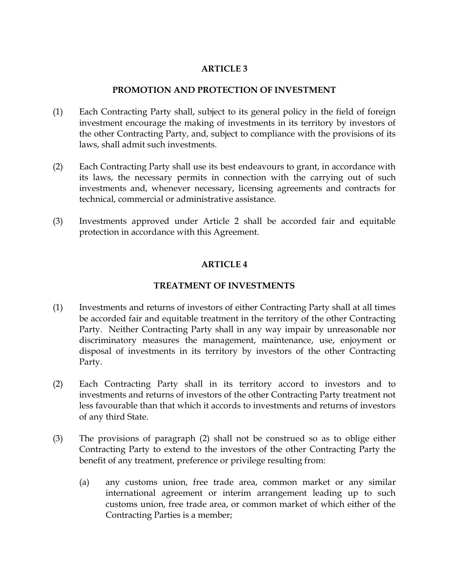#### **PROMOTION AND PROTECTION OF INVESTMENT**

- (1) Each Contracting Party shall, subject to its general policy in the field of foreign investment encourage the making of investments in its territory by investors of the other Contracting Party, and, subject to compliance with the provisions of its laws, shall admit such investments.
- (2) Each Contracting Party shall use its best endeavours to grant, in accordance with its laws, the necessary permits in connection with the carrying out of such investments and, whenever necessary, licensing agreements and contracts for technical, commercial or administrative assistance.
- (3) Investments approved under Article 2 shall be accorded fair and equitable protection in accordance with this Agreement.

## **ARTICLE 4**

## **TREATMENT OF INVESTMENTS**

- (1) Investments and returns of investors of either Contracting Party shall at all times be accorded fair and equitable treatment in the territory of the other Contracting Party. Neither Contracting Party shall in any way impair by unreasonable nor discriminatory measures the management, maintenance, use, enjoyment or disposal of investments in its territory by investors of the other Contracting Party.
- (2) Each Contracting Party shall in its territory accord to investors and to investments and returns of investors of the other Contracting Party treatment not less favourable than that which it accords to investments and returns of investors of any third State.
- (3) The provisions of paragraph (2) shall not be construed so as to oblige either Contracting Party to extend to the investors of the other Contracting Party the benefit of any treatment, preference or privilege resulting from:
	- (a) any customs union, free trade area, common market or any similar international agreement or interim arrangement leading up to such customs union, free trade area, or common market of which either of the Contracting Parties is a member;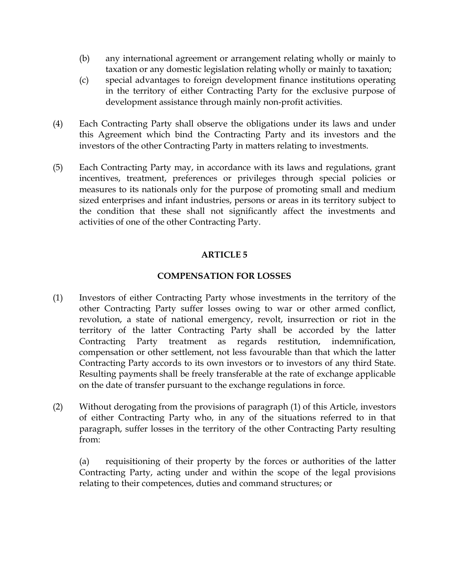- (b) any international agreement or arrangement relating wholly or mainly to taxation or any domestic legislation relating wholly or mainly to taxation;
- (c) special advantages to foreign development finance institutions operating in the territory of either Contracting Party for the exclusive purpose of development assistance through mainly non-profit activities.
- (4) Each Contracting Party shall observe the obligations under its laws and under this Agreement which bind the Contracting Party and its investors and the investors of the other Contracting Party in matters relating to investments.
- (5) Each Contracting Party may, in accordance with its laws and regulations, grant incentives, treatment, preferences or privileges through special policies or measures to its nationals only for the purpose of promoting small and medium sized enterprises and infant industries, persons or areas in its territory subject to the condition that these shall not significantly affect the investments and activities of one of the other Contracting Party.

# **COMPENSATION FOR LOSSES**

- (1) Investors of either Contracting Party whose investments in the territory of the other Contracting Party suffer losses owing to war or other armed conflict, revolution, a state of national emergency, revolt, insurrection or riot in the territory of the latter Contracting Party shall be accorded by the latter Contracting Party treatment as regards restitution, indemnification, compensation or other settlement, not less favourable than that which the latter Contracting Party accords to its own investors or to investors of any third State. Resulting payments shall be freely transferable at the rate of exchange applicable on the date of transfer pursuant to the exchange regulations in force.
- (2) Without derogating from the provisions of paragraph (1) of this Article, investors of either Contracting Party who, in any of the situations referred to in that paragraph, suffer losses in the territory of the other Contracting Party resulting from:

(a) requisitioning of their property by the forces or authorities of the latter Contracting Party, acting under and within the scope of the legal provisions relating to their competences, duties and command structures; or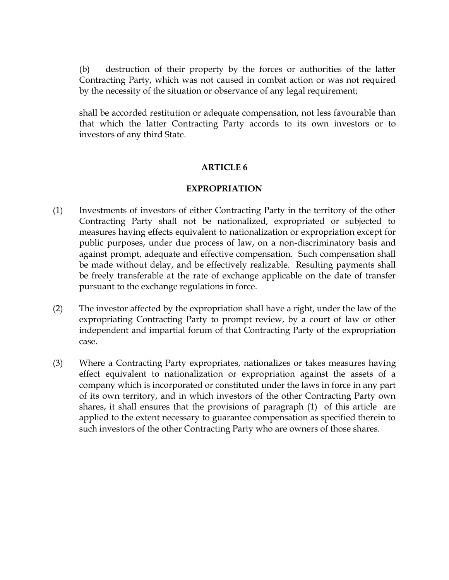(b) destruction of their property by the forces or authorities of the latter Contracting Party, which was not caused in combat action or was not required by the necessity of the situation or observance of any legal requirement;

shall be accorded restitution or adequate compensation, not less favourable than that which the latter Contracting Party accords to its own investors or to investors of any third State.

## **ARTICLE 6**

### **EXPROPRIATION**

- (1) Investments of investors of either Contracting Party in the territory of the other Contracting Party shall not be nationalized, expropriated or subjected to measures having effects equivalent to nationalization or expropriation except for public purposes, under due process of law, on a non-discriminatory basis and against prompt, adequate and effective compensation. Such compensation shall be made without delay, and be effectively realizable. Resulting payments shall be freely transferable at the rate of exchange applicable on the date of transfer pursuant to the exchange regulations in force.
- (2) The investor affected by the expropriation shall have a right, under the law of the expropriating Contracting Party to prompt review, by a court of law or other independent and impartial forum of that Contracting Party of the expropriation case.
- (3) Where a Contracting Party expropriates, nationalizes or takes measures having effect equivalent to nationalization or expropriation against the assets of a company which is incorporated or constituted under the laws in force in any part of its own territory, and in which investors of the other Contracting Party own shares, it shall ensures that the provisions of paragraph (1) of this article are applied to the extent necessary to guarantee compensation as specified therein to such investors of the other Contracting Party who are owners of those shares.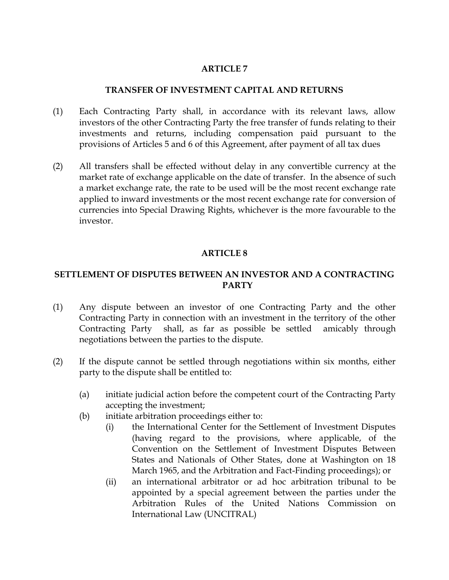### **TRANSFER OF INVESTMENT CAPITAL AND RETURNS**

- (1) Each Contracting Party shall, in accordance with its relevant laws, allow investors of the other Contracting Party the free transfer of funds relating to their investments and returns, including compensation paid pursuant to the provisions of Articles 5 and 6 of this Agreement, after payment of all tax dues
- (2) All transfers shall be effected without delay in any convertible currency at the market rate of exchange applicable on the date of transfer. In the absence of such a market exchange rate, the rate to be used will be the most recent exchange rate applied to inward investments or the most recent exchange rate for conversion of currencies into Special Drawing Rights, whichever is the more favourable to the investor.

## **ARTICLE 8**

# **SETTLEMENT OF DISPUTES BETWEEN AN INVESTOR AND A CONTRACTING PARTY**

- (1) Any dispute between an investor of one Contracting Party and the other Contracting Party in connection with an investment in the territory of the other Contracting Party shall, as far as possible be settled amicably through negotiations between the parties to the dispute.
- (2) If the dispute cannot be settled through negotiations within six months, either party to the dispute shall be entitled to:
	- (a) initiate judicial action before the competent court of the Contracting Party accepting the investment;
	- (b) initiate arbitration proceedings either to:
		- (i) the International Center for the Settlement of Investment Disputes (having regard to the provisions, where applicable, of the Convention on the Settlement of Investment Disputes Between States and Nationals of Other States, done at Washington on 18 March 1965, and the Arbitration and Fact-Finding proceedings); or
		- (ii) an international arbitrator or ad hoc arbitration tribunal to be appointed by a special agreement between the parties under the Arbitration Rules of the United Nations Commission on International Law (UNCITRAL)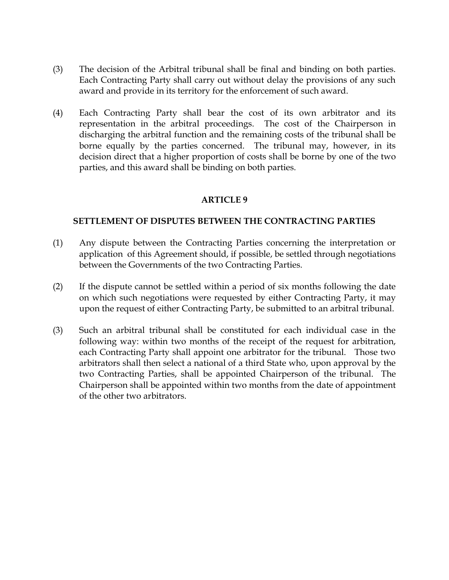- (3) The decision of the Arbitral tribunal shall be final and binding on both parties. Each Contracting Party shall carry out without delay the provisions of any such award and provide in its territory for the enforcement of such award.
- (4) Each Contracting Party shall bear the cost of its own arbitrator and its representation in the arbitral proceedings. The cost of the Chairperson in discharging the arbitral function and the remaining costs of the tribunal shall be borne equally by the parties concerned. The tribunal may, however, in its decision direct that a higher proportion of costs shall be borne by one of the two parties, and this award shall be binding on both parties.

### **SETTLEMENT OF DISPUTES BETWEEN THE CONTRACTING PARTIES**

- (1) Any dispute between the Contracting Parties concerning the interpretation or application of this Agreement should, if possible, be settled through negotiations between the Governments of the two Contracting Parties.
- (2) If the dispute cannot be settled within a period of six months following the date on which such negotiations were requested by either Contracting Party, it may upon the request of either Contracting Party, be submitted to an arbitral tribunal.
- (3) Such an arbitral tribunal shall be constituted for each individual case in the following way: within two months of the receipt of the request for arbitration, each Contracting Party shall appoint one arbitrator for the tribunal. Those two arbitrators shall then select a national of a third State who, upon approval by the two Contracting Parties, shall be appointed Chairperson of the tribunal. The Chairperson shall be appointed within two months from the date of appointment of the other two arbitrators.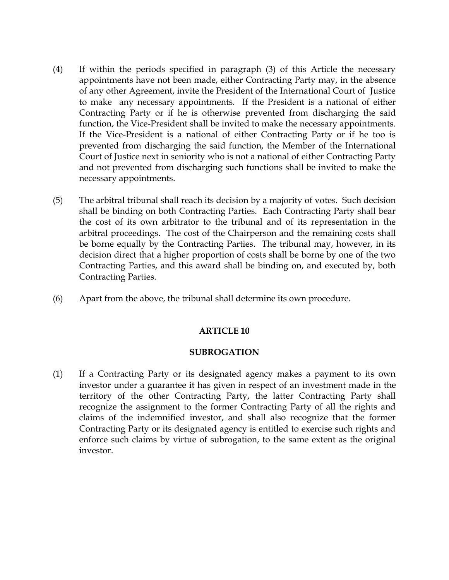- (4) If within the periods specified in paragraph (3) of this Article the necessary appointments have not been made, either Contracting Party may, in the absence of any other Agreement, invite the President of the International Court of Justice to make any necessary appointments. If the President is a national of either Contracting Party or if he is otherwise prevented from discharging the said function, the Vice-President shall be invited to make the necessary appointments. If the Vice-President is a national of either Contracting Party or if he too is prevented from discharging the said function, the Member of the International Court of Justice next in seniority who is not a national of either Contracting Party and not prevented from discharging such functions shall be invited to make the necessary appointments.
- (5) The arbitral tribunal shall reach its decision by a majority of votes. Such decision shall be binding on both Contracting Parties. Each Contracting Party shall bear the cost of its own arbitrator to the tribunal and of its representation in the arbitral proceedings. The cost of the Chairperson and the remaining costs shall be borne equally by the Contracting Parties. The tribunal may, however, in its decision direct that a higher proportion of costs shall be borne by one of the two Contracting Parties, and this award shall be binding on, and executed by, both Contracting Parties.
- (6) Apart from the above, the tribunal shall determine its own procedure.

#### **SUBROGATION**

(1) If a Contracting Party or its designated agency makes a payment to its own investor under a guarantee it has given in respect of an investment made in the territory of the other Contracting Party, the latter Contracting Party shall recognize the assignment to the former Contracting Party of all the rights and claims of the indemnified investor, and shall also recognize that the former Contracting Party or its designated agency is entitled to exercise such rights and enforce such claims by virtue of subrogation, to the same extent as the original investor.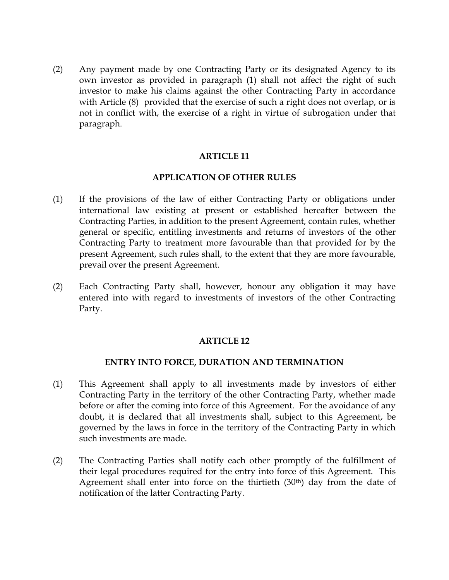(2) Any payment made by one Contracting Party or its designated Agency to its own investor as provided in paragraph (1) shall not affect the right of such investor to make his claims against the other Contracting Party in accordance with Article (8) provided that the exercise of such a right does not overlap, or is not in conflict with, the exercise of a right in virtue of subrogation under that paragraph.

### **ARTICLE 11**

### **APPLICATION OF OTHER RULES**

- (1) If the provisions of the law of either Contracting Party or obligations under international law existing at present or established hereafter between the Contracting Parties, in addition to the present Agreement, contain rules, whether general or specific, entitling investments and returns of investors of the other Contracting Party to treatment more favourable than that provided for by the present Agreement, such rules shall, to the extent that they are more favourable, prevail over the present Agreement.
- (2) Each Contracting Party shall, however, honour any obligation it may have entered into with regard to investments of investors of the other Contracting Party.

#### **ARTICLE 12**

#### **ENTRY INTO FORCE, DURATION AND TERMINATION**

- (1) This Agreement shall apply to all investments made by investors of either Contracting Party in the territory of the other Contracting Party, whether made before or after the coming into force of this Agreement. For the avoidance of any doubt, it is declared that all investments shall, subject to this Agreement, be governed by the laws in force in the territory of the Contracting Party in which such investments are made.
- (2) The Contracting Parties shall notify each other promptly of the fulfillment of their legal procedures required for the entry into force of this Agreement. This Agreement shall enter into force on the thirtieth (30th) day from the date of notification of the latter Contracting Party.